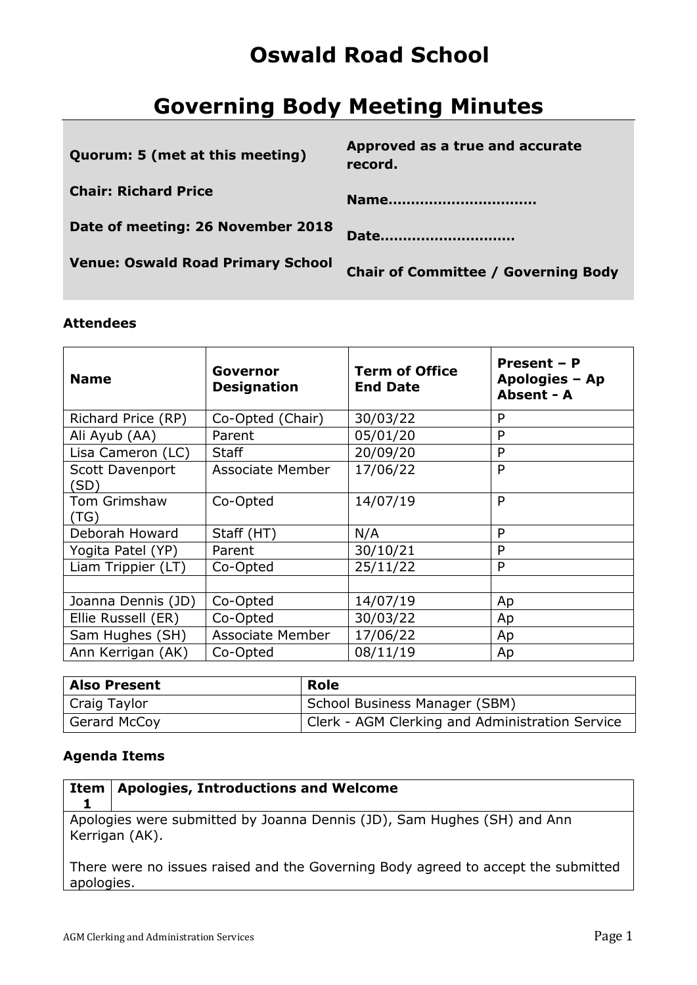# **Oswald Road School**

# **Governing Body Meeting Minutes**

| Quorum: 5 (met at this meeting)          | Approved as a true and accurate<br>record. |
|------------------------------------------|--------------------------------------------|
| <b>Chair: Richard Price</b>              | Name                                       |
| Date of meeting: 26 November 2018        | Date                                       |
| <b>Venue: Oswald Road Primary School</b> | <b>Chair of Committee / Governing Body</b> |
|                                          |                                            |

### **Attendees**

| <b>Name</b>             | Governor<br><b>Designation</b> | <b>Term of Office</b><br><b>End Date</b> | Present - P<br>Apologies - Ap<br>Absent - A |
|-------------------------|--------------------------------|------------------------------------------|---------------------------------------------|
| Richard Price (RP)      | Co-Opted (Chair)               | 30/03/22                                 | P                                           |
| Ali Ayub (AA)           | Parent                         | 05/01/20                                 | P                                           |
| Lisa Cameron (LC)       | <b>Staff</b>                   | 20/09/20                                 | P                                           |
| Scott Davenport<br>(SD) | Associate Member               | 17/06/22                                 | P                                           |
| Tom Grimshaw<br>(TG)    | Co-Opted                       | 14/07/19                                 | P                                           |
| Deborah Howard          | Staff (HT)                     | N/A                                      | P                                           |
| Yogita Patel (YP)       | Parent                         | 30/10/21                                 | P                                           |
| Liam Trippier (LT)      | Co-Opted                       | 25/11/22                                 | P                                           |
|                         |                                |                                          |                                             |
| Joanna Dennis (JD)      | Co-Opted                       | 14/07/19                                 | Ap                                          |
| Ellie Russell (ER)      | Co-Opted                       | 30/03/22                                 | Ap                                          |
| Sam Hughes (SH)         | <b>Associate Member</b>        | 17/06/22                                 | Ap                                          |
| Ann Kerrigan (AK)       | Co-Opted                       | 08/11/19                                 | Ap                                          |

| <b>Also Present</b> | Role                                            |
|---------------------|-------------------------------------------------|
| Craig Taylor        | School Business Manager (SBM)                   |
| Gerard McCoy        | Clerk - AGM Clerking and Administration Service |

### **Agenda Items**

| Item   Apologies, Introductions and Welcome                                               |
|-------------------------------------------------------------------------------------------|
| Apologies were submitted by Joanna Dennis (JD), Sam Hughes (SH) and Ann<br>Kerrigan (AK). |

There were no issues raised and the Governing Body agreed to accept the submitted apologies.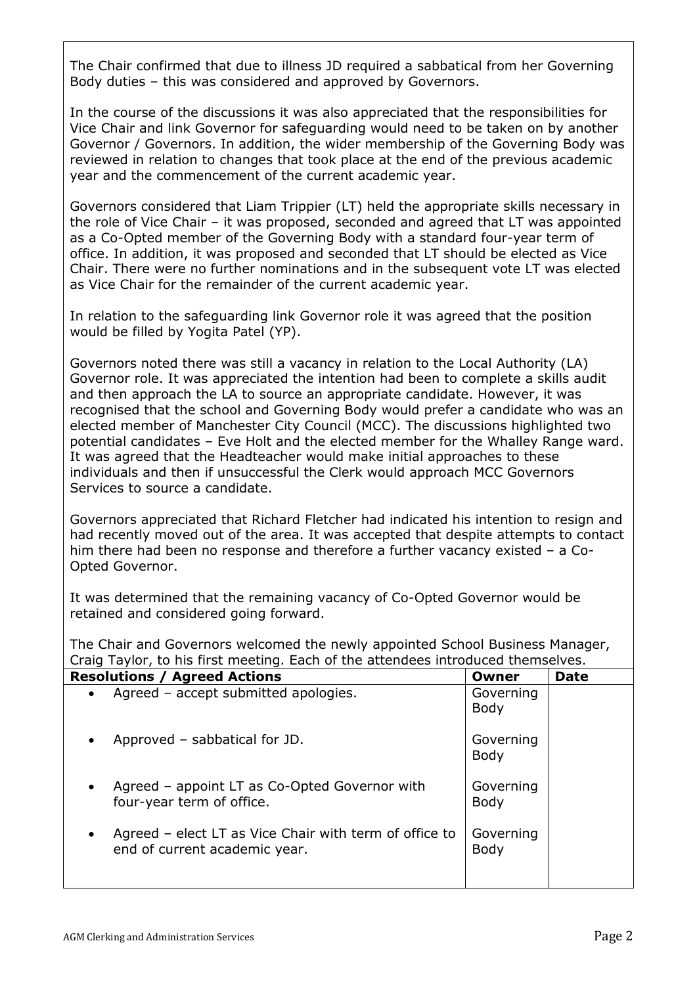The Chair confirmed that due to illness JD required a sabbatical from her Governing Body duties – this was considered and approved by Governors.

In the course of the discussions it was also appreciated that the responsibilities for Vice Chair and link Governor for safeguarding would need to be taken on by another Governor / Governors. In addition, the wider membership of the Governing Body was reviewed in relation to changes that took place at the end of the previous academic year and the commencement of the current academic year.

Governors considered that Liam Trippier (LT) held the appropriate skills necessary in the role of Vice Chair – it was proposed, seconded and agreed that LT was appointed as a Co-Opted member of the Governing Body with a standard four-year term of office. In addition, it was proposed and seconded that LT should be elected as Vice Chair. There were no further nominations and in the subsequent vote LT was elected as Vice Chair for the remainder of the current academic year.

In relation to the safeguarding link Governor role it was agreed that the position would be filled by Yogita Patel (YP).

Governors noted there was still a vacancy in relation to the Local Authority (LA) Governor role. It was appreciated the intention had been to complete a skills audit and then approach the LA to source an appropriate candidate. However, it was recognised that the school and Governing Body would prefer a candidate who was an elected member of Manchester City Council (MCC). The discussions highlighted two potential candidates – Eve Holt and the elected member for the Whalley Range ward. It was agreed that the Headteacher would make initial approaches to these individuals and then if unsuccessful the Clerk would approach MCC Governors Services to source a candidate.

Governors appreciated that Richard Fletcher had indicated his intention to resign and had recently moved out of the area. It was accepted that despite attempts to contact him there had been no response and therefore a further vacancy existed – a Co-Opted Governor.

It was determined that the remaining vacancy of Co-Opted Governor would be retained and considered going forward.

The Chair and Governors welcomed the newly appointed School Business Manager, Craig Taylor, to his first meeting. Each of the attendees introduced themselves.

| <b>Resolutions / Agreed Actions</b>                                                                  | Owner                    | <b>Date</b> |
|------------------------------------------------------------------------------------------------------|--------------------------|-------------|
| Agreed - accept submitted apologies.<br>$\bullet$                                                    | Governing<br><b>Body</b> |             |
| Approved - sabbatical for JD.<br>$\bullet$                                                           | Governing<br>Body        |             |
| Agreed – appoint LT as Co-Opted Governor with<br>$\bullet$<br>four-year term of office.              | Governing<br>Body        |             |
| Agreed – elect LT as Vice Chair with term of office to<br>$\bullet$<br>end of current academic year. | Governing<br>Body        |             |
|                                                                                                      |                          |             |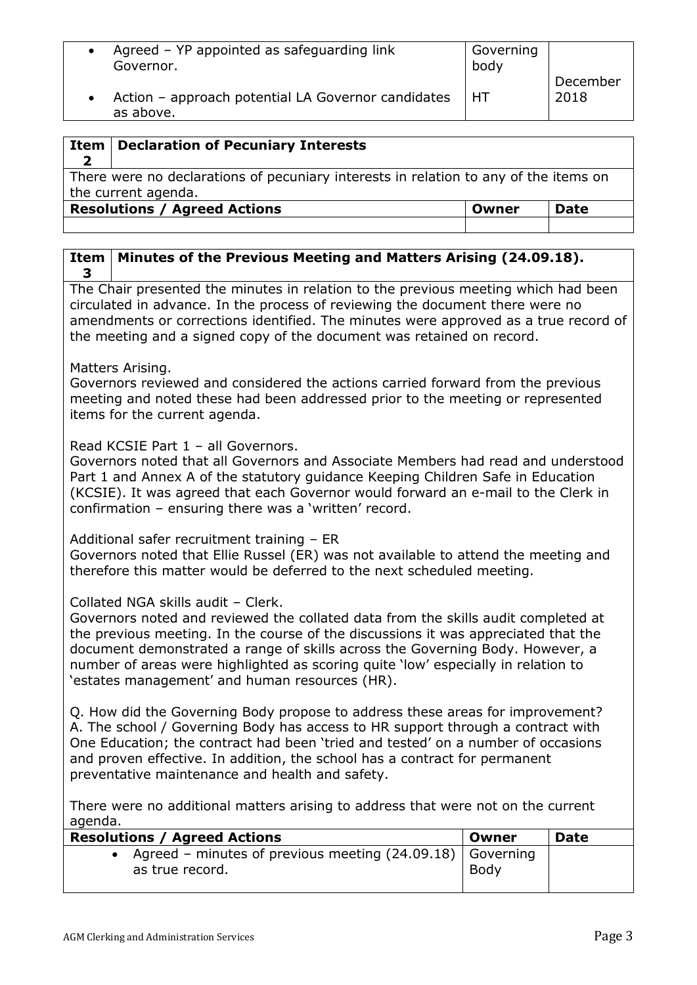| Agreed - YP appointed as safeguarding link<br>Governor.         | Governing<br>body |                  |
|-----------------------------------------------------------------|-------------------|------------------|
| Action - approach potential LA Governor candidates<br>as above. | HT.               | December<br>2018 |

| Item                                                                                                        | Declaration of Pecuniary Interests           |             |
|-------------------------------------------------------------------------------------------------------------|----------------------------------------------|-------------|
| There were no declarations of pecuniary interests in relation to any of the items on<br>the current agenda. |                                              |             |
|                                                                                                             | <b>Resolutions / Agreed Actions</b><br>Owner | <b>Date</b> |
|                                                                                                             |                                              |             |

#### **Item 3 Minutes of the Previous Meeting and Matters Arising (24.09.18).**

The Chair presented the minutes in relation to the previous meeting which had been circulated in advance. In the process of reviewing the document there were no amendments or corrections identified. The minutes were approved as a true record of the meeting and a signed copy of the document was retained on record.

Matters Arising.

Governors reviewed and considered the actions carried forward from the previous meeting and noted these had been addressed prior to the meeting or represented items for the current agenda.

Read KCSIE Part 1 – all Governors.

Governors noted that all Governors and Associate Members had read and understood Part 1 and Annex A of the statutory guidance Keeping Children Safe in Education (KCSIE). It was agreed that each Governor would forward an e-mail to the Clerk in confirmation – ensuring there was a 'written' record.

Additional safer recruitment training – ER Governors noted that Ellie Russel (ER) was not available to attend the meeting and therefore this matter would be deferred to the next scheduled meeting.

## Collated NGA skills audit – Clerk.

Governors noted and reviewed the collated data from the skills audit completed at the previous meeting. In the course of the discussions it was appreciated that the document demonstrated a range of skills across the Governing Body. However, a number of areas were highlighted as scoring quite 'low' especially in relation to 'estates management' and human resources (HR).

Q. How did the Governing Body propose to address these areas for improvement? A. The school / Governing Body has access to HR support through a contract with One Education; the contract had been 'tried and tested' on a number of occasions and proven effective. In addition, the school has a contract for permanent preventative maintenance and health and safety.

There were no additional matters arising to address that were not on the current agenda.

| <b>Resolutions / Agreed Actions</b>                                              | Owner | <b>Date</b> |
|----------------------------------------------------------------------------------|-------|-------------|
| • Agreed – minutes of previous meeting $(24.09.18)$ Governing<br>as true record. | Body  |             |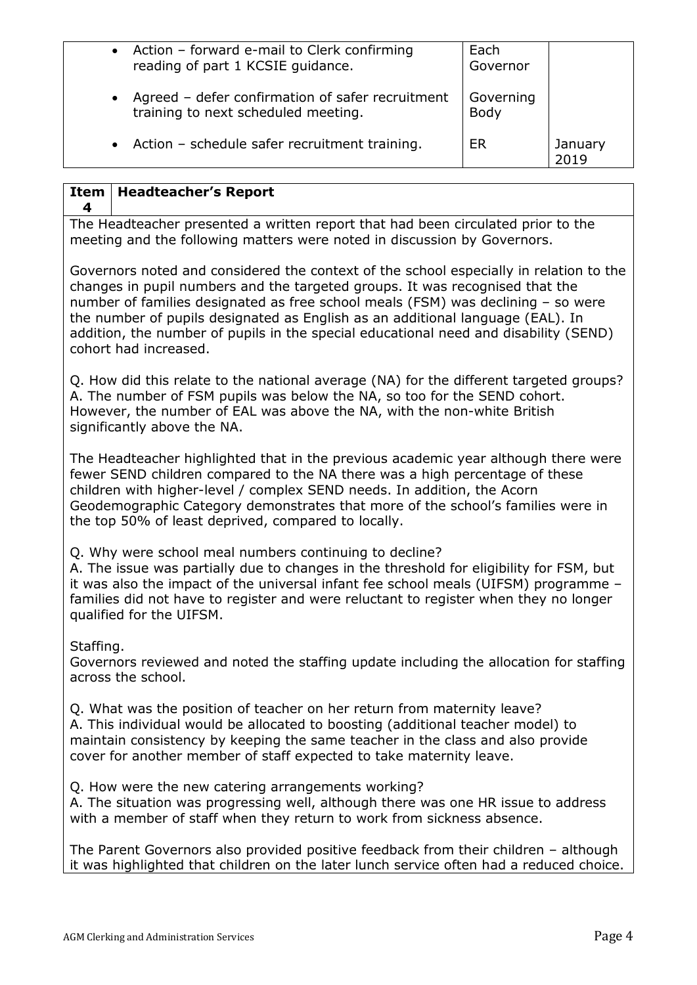|           | • Action – forward e-mail to Clerk confirming                                           | Each              |                 |
|-----------|-----------------------------------------------------------------------------------------|-------------------|-----------------|
|           | reading of part 1 KCSIE guidance.                                                       | Governor          |                 |
| $\bullet$ | Agreed - defer confirmation of safer recruitment<br>training to next scheduled meeting. | Governing<br>Body |                 |
| $\bullet$ | Action - schedule safer recruitment training.                                           | <b>ER</b>         | January<br>2019 |

#### **Item Headteacher's Report**

**4**

The Headteacher presented a written report that had been circulated prior to the meeting and the following matters were noted in discussion by Governors.

Governors noted and considered the context of the school especially in relation to the changes in pupil numbers and the targeted groups. It was recognised that the number of families designated as free school meals (FSM) was declining – so were the number of pupils designated as English as an additional language (EAL). In addition, the number of pupils in the special educational need and disability (SEND) cohort had increased.

Q. How did this relate to the national average (NA) for the different targeted groups? A. The number of FSM pupils was below the NA, so too for the SEND cohort. However, the number of EAL was above the NA, with the non-white British significantly above the NA.

The Headteacher highlighted that in the previous academic year although there were fewer SEND children compared to the NA there was a high percentage of these children with higher-level / complex SEND needs. In addition, the Acorn Geodemographic Category demonstrates that more of the school's families were in the top 50% of least deprived, compared to locally.

Q. Why were school meal numbers continuing to decline?

A. The issue was partially due to changes in the threshold for eligibility for FSM, but it was also the impact of the universal infant fee school meals (UIFSM) programme – families did not have to register and were reluctant to register when they no longer qualified for the UIFSM.

Staffing.

Governors reviewed and noted the staffing update including the allocation for staffing across the school.

Q. What was the position of teacher on her return from maternity leave? A. This individual would be allocated to boosting (additional teacher model) to maintain consistency by keeping the same teacher in the class and also provide cover for another member of staff expected to take maternity leave.

Q. How were the new catering arrangements working?

A. The situation was progressing well, although there was one HR issue to address with a member of staff when they return to work from sickness absence.

The Parent Governors also provided positive feedback from their children – although it was highlighted that children on the later lunch service often had a reduced choice.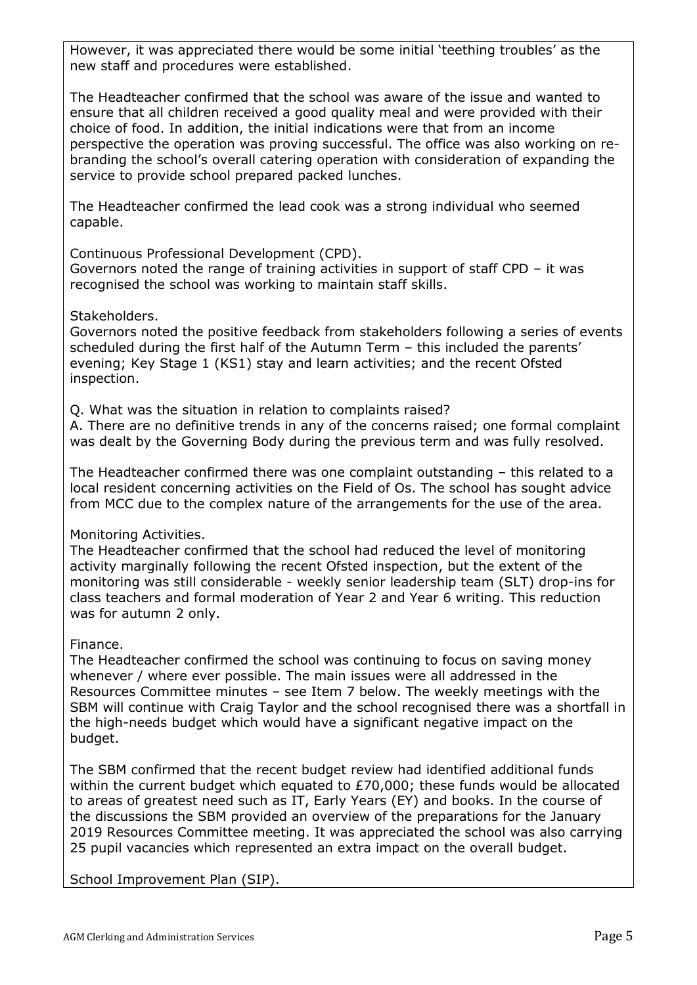However, it was appreciated there would be some initial 'teething troubles' as the new staff and procedures were established.

The Headteacher confirmed that the school was aware of the issue and wanted to ensure that all children received a good quality meal and were provided with their choice of food. In addition, the initial indications were that from an income perspective the operation was proving successful. The office was also working on rebranding the school's overall catering operation with consideration of expanding the service to provide school prepared packed lunches.

The Headteacher confirmed the lead cook was a strong individual who seemed capable.

Continuous Professional Development (CPD).

Governors noted the range of training activities in support of staff CPD – it was recognised the school was working to maintain staff skills.

Stakeholders.

Governors noted the positive feedback from stakeholders following a series of events scheduled during the first half of the Autumn Term – this included the parents' evening; Key Stage 1 (KS1) stay and learn activities; and the recent Ofsted inspection.

Q. What was the situation in relation to complaints raised?

A. There are no definitive trends in any of the concerns raised; one formal complaint was dealt by the Governing Body during the previous term and was fully resolved.

The Headteacher confirmed there was one complaint outstanding – this related to a local resident concerning activities on the Field of Os. The school has sought advice from MCC due to the complex nature of the arrangements for the use of the area.

Monitoring Activities.

The Headteacher confirmed that the school had reduced the level of monitoring activity marginally following the recent Ofsted inspection, but the extent of the monitoring was still considerable - weekly senior leadership team (SLT) drop-ins for class teachers and formal moderation of Year 2 and Year 6 writing. This reduction was for autumn 2 only.

Finance.

The Headteacher confirmed the school was continuing to focus on saving money whenever / where ever possible. The main issues were all addressed in the Resources Committee minutes – see Item 7 below. The weekly meetings with the SBM will continue with Craig Taylor and the school recognised there was a shortfall in the high-needs budget which would have a significant negative impact on the budget.

The SBM confirmed that the recent budget review had identified additional funds within the current budget which equated to £70,000; these funds would be allocated to areas of greatest need such as IT, Early Years (EY) and books. In the course of the discussions the SBM provided an overview of the preparations for the January 2019 Resources Committee meeting. It was appreciated the school was also carrying 25 pupil vacancies which represented an extra impact on the overall budget.

School Improvement Plan (SIP).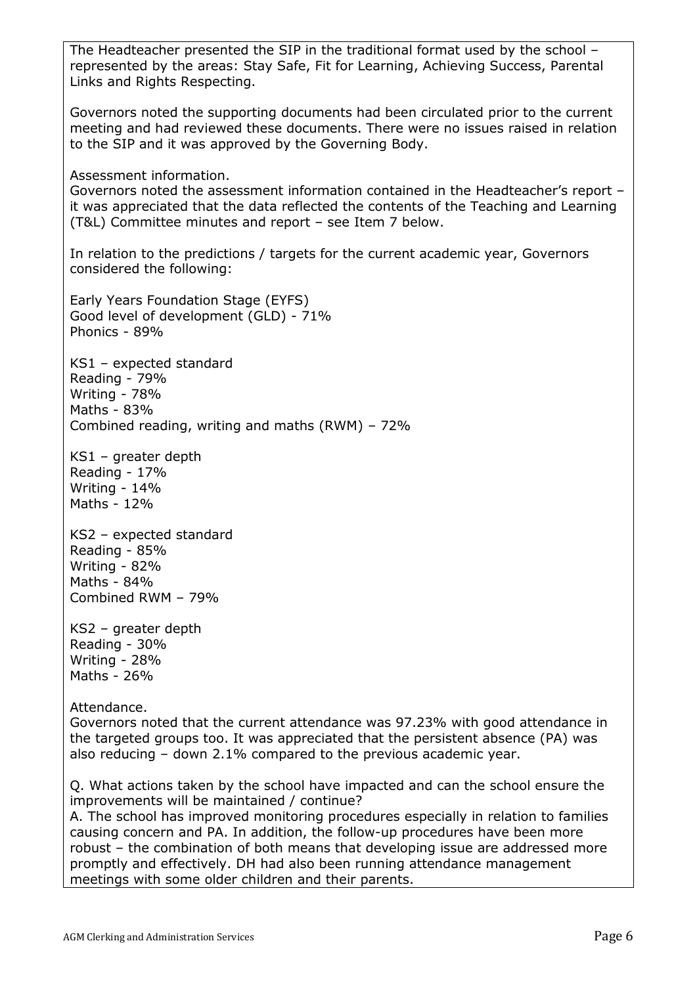The Headteacher presented the SIP in the traditional format used by the school – represented by the areas: Stay Safe, Fit for Learning, Achieving Success, Parental Links and Rights Respecting.

Governors noted the supporting documents had been circulated prior to the current meeting and had reviewed these documents. There were no issues raised in relation to the SIP and it was approved by the Governing Body.

Assessment information.

Governors noted the assessment information contained in the Headteacher's report – it was appreciated that the data reflected the contents of the Teaching and Learning (T&L) Committee minutes and report – see Item 7 below.

In relation to the predictions / targets for the current academic year, Governors considered the following:

Early Years Foundation Stage (EYFS) Good level of development (GLD) - 71% Phonics - 89%

KS1 – expected standard Reading - 79% Writing - 78% Maths - 83% Combined reading, writing and maths (RWM) – 72%

KS1 – greater depth Reading - 17% Writing - 14% Maths - 12%

KS2 – expected standard Reading - 85% Writing - 82% Maths - 84% Combined RWM – 79%

KS2 – greater depth Reading - 30% Writing - 28% Maths - 26%

Attendance.

Governors noted that the current attendance was 97.23% with good attendance in the targeted groups too. It was appreciated that the persistent absence (PA) was also reducing – down 2.1% compared to the previous academic year.

Q. What actions taken by the school have impacted and can the school ensure the improvements will be maintained / continue?

A. The school has improved monitoring procedures especially in relation to families causing concern and PA. In addition, the follow-up procedures have been more robust – the combination of both means that developing issue are addressed more promptly and effectively. DH had also been running attendance management meetings with some older children and their parents.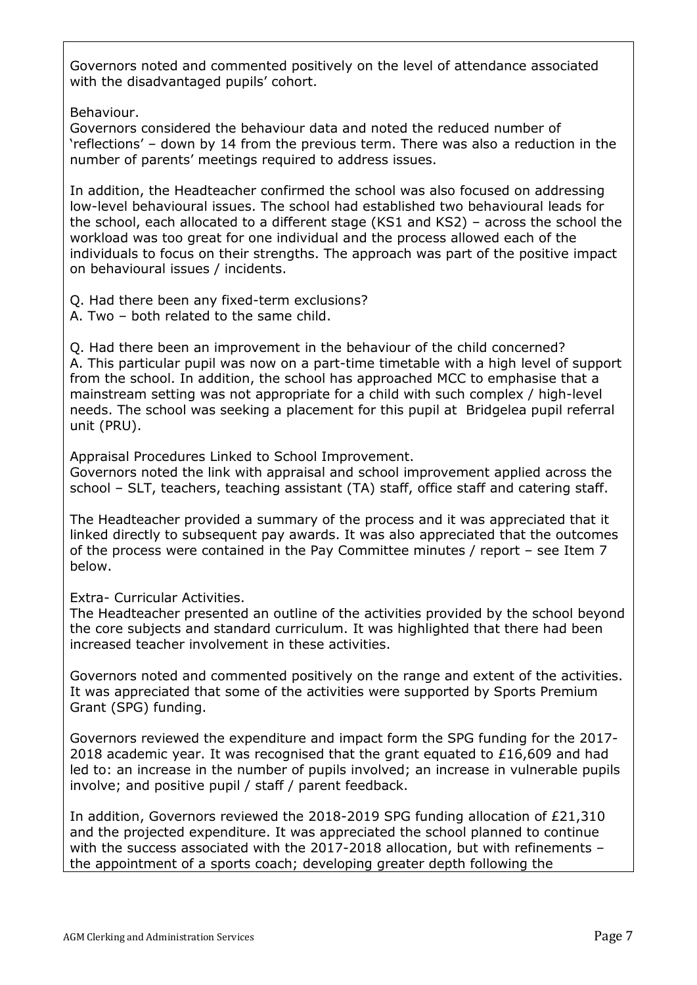Governors noted and commented positively on the level of attendance associated with the disadvantaged pupils' cohort.

Behaviour.

Governors considered the behaviour data and noted the reduced number of 'reflections' – down by 14 from the previous term. There was also a reduction in the number of parents' meetings required to address issues.

In addition, the Headteacher confirmed the school was also focused on addressing low-level behavioural issues. The school had established two behavioural leads for the school, each allocated to a different stage (KS1 and KS2) – across the school the workload was too great for one individual and the process allowed each of the individuals to focus on their strengths. The approach was part of the positive impact on behavioural issues / incidents.

Q. Had there been any fixed-term exclusions?

A. Two – both related to the same child.

Q. Had there been an improvement in the behaviour of the child concerned? A. This particular pupil was now on a part-time timetable with a high level of support from the school. In addition, the school has approached MCC to emphasise that a mainstream setting was not appropriate for a child with such complex / high-level needs. The school was seeking a placement for this pupil at Bridgelea pupil referral unit (PRU).

Appraisal Procedures Linked to School Improvement.

Governors noted the link with appraisal and school improvement applied across the school – SLT, teachers, teaching assistant (TA) staff, office staff and catering staff.

The Headteacher provided a summary of the process and it was appreciated that it linked directly to subsequent pay awards. It was also appreciated that the outcomes of the process were contained in the Pay Committee minutes / report – see Item 7 below.

Extra- Curricular Activities.

The Headteacher presented an outline of the activities provided by the school beyond the core subjects and standard curriculum. It was highlighted that there had been increased teacher involvement in these activities.

Governors noted and commented positively on the range and extent of the activities. It was appreciated that some of the activities were supported by Sports Premium Grant (SPG) funding.

Governors reviewed the expenditure and impact form the SPG funding for the 2017- 2018 academic year. It was recognised that the grant equated to  $£16,609$  and had led to: an increase in the number of pupils involved; an increase in vulnerable pupils involve; and positive pupil / staff / parent feedback.

In addition, Governors reviewed the 2018-2019 SPG funding allocation of £21,310 and the projected expenditure. It was appreciated the school planned to continue with the success associated with the 2017-2018 allocation, but with refinements – the appointment of a sports coach; developing greater depth following the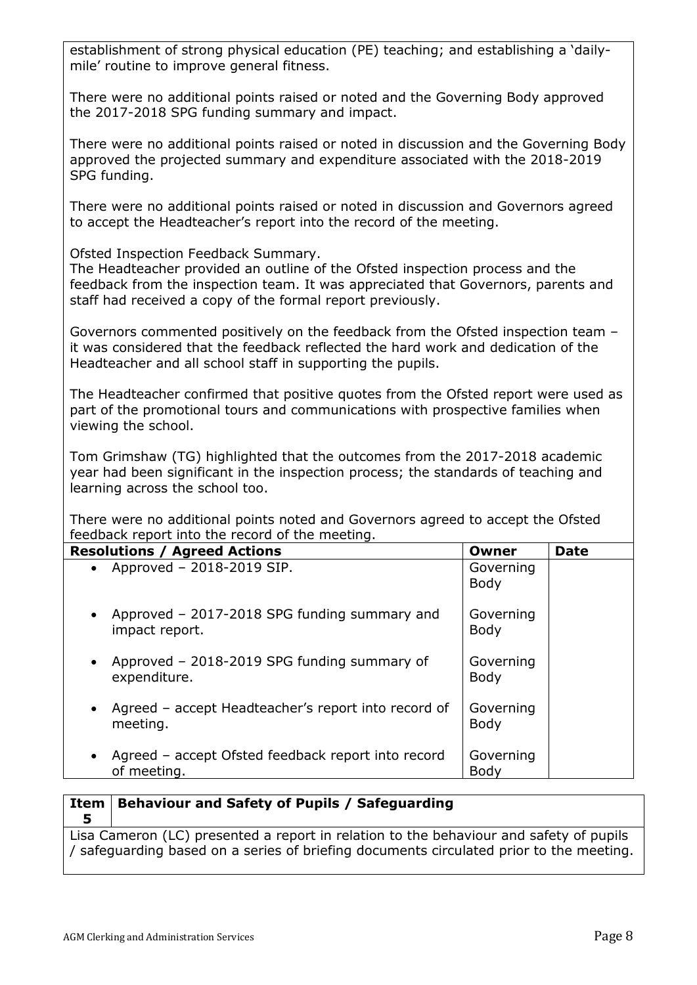| establishment of strong physical education (PE) teaching; and establishing a 'daily-<br>mile' routine to improve general fitness.                                                                                                                                      |                          |             |
|------------------------------------------------------------------------------------------------------------------------------------------------------------------------------------------------------------------------------------------------------------------------|--------------------------|-------------|
| There were no additional points raised or noted and the Governing Body approved<br>the 2017-2018 SPG funding summary and impact.                                                                                                                                       |                          |             |
| There were no additional points raised or noted in discussion and the Governing Body<br>approved the projected summary and expenditure associated with the 2018-2019<br>SPG funding.                                                                                   |                          |             |
| There were no additional points raised or noted in discussion and Governors agreed<br>to accept the Headteacher's report into the record of the meeting.                                                                                                               |                          |             |
| Ofsted Inspection Feedback Summary.<br>The Headteacher provided an outline of the Ofsted inspection process and the<br>feedback from the inspection team. It was appreciated that Governors, parents and<br>staff had received a copy of the formal report previously. |                          |             |
| Governors commented positively on the feedback from the Ofsted inspection team -<br>it was considered that the feedback reflected the hard work and dedication of the<br>Headteacher and all school staff in supporting the pupils.                                    |                          |             |
| The Headteacher confirmed that positive quotes from the Ofsted report were used as<br>part of the promotional tours and communications with prospective families when<br>viewing the school.                                                                           |                          |             |
| Tom Grimshaw (TG) highlighted that the outcomes from the 2017-2018 academic<br>year had been significant in the inspection process; the standards of teaching and<br>learning across the school too.                                                                   |                          |             |
| There were no additional points noted and Governors agreed to accept the Ofsted<br>feedback report into the record of the meeting.                                                                                                                                     |                          |             |
| <b>Resolutions / Agreed Actions</b>                                                                                                                                                                                                                                    | Owner                    | <b>Date</b> |
| Approved - 2018-2019 SIP.                                                                                                                                                                                                                                              | Governing<br><b>Body</b> |             |
| Approved - 2017-2018 SPG funding summary and<br>impact report.                                                                                                                                                                                                         | Governing<br><b>Body</b> |             |
| Approved - 2018-2019 SPG funding summary of<br>expenditure.                                                                                                                                                                                                            | Governing<br><b>Body</b> |             |
| Agreed - accept Headteacher's report into record of<br>meeting.                                                                                                                                                                                                        | Governing<br><b>Body</b> |             |
| Agreed - accept Ofsted feedback report into record<br>of meeting.                                                                                                                                                                                                      | Governing<br>Body        |             |
| <b>Item   Rebaviour and Safety of Punils / Safeguarding</b>                                                                                                                                                                                                            |                          |             |

**5**

**Item Behaviour and Safety of Pupils / Safeguarding**

Lisa Cameron (LC) presented a report in relation to the behaviour and safety of pupils / safeguarding based on a series of briefing documents circulated prior to the meeting.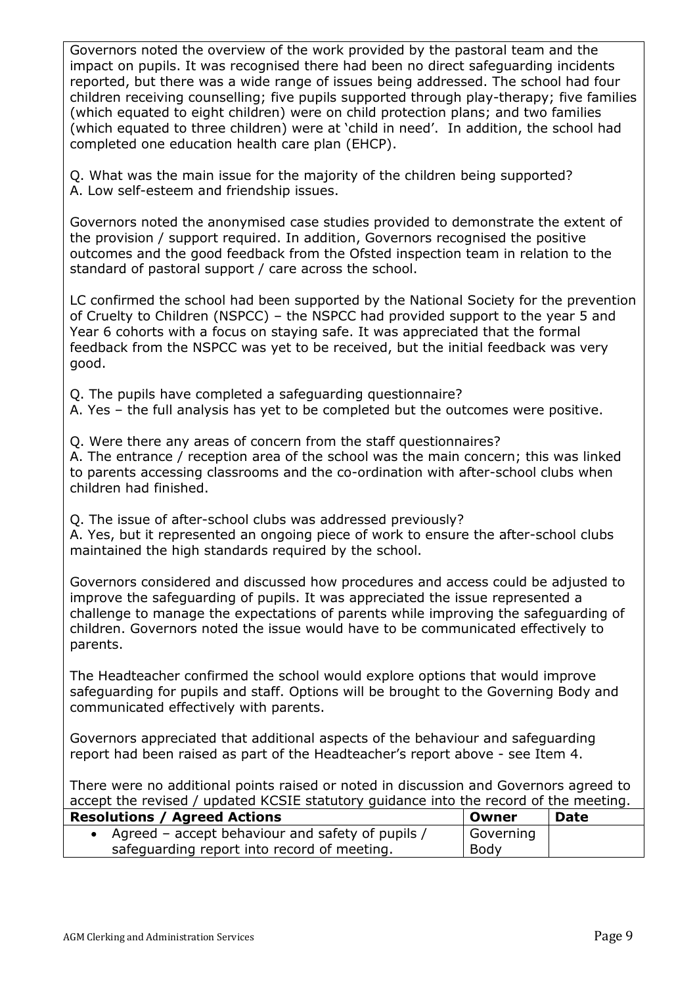Governors noted the overview of the work provided by the pastoral team and the impact on pupils. It was recognised there had been no direct safeguarding incidents reported, but there was a wide range of issues being addressed. The school had four children receiving counselling; five pupils supported through play-therapy; five families (which equated to eight children) were on child protection plans; and two families (which equated to three children) were at 'child in need'. In addition, the school had completed one education health care plan (EHCP).

Q. What was the main issue for the majority of the children being supported? A. Low self-esteem and friendship issues.

Governors noted the anonymised case studies provided to demonstrate the extent of the provision / support required. In addition, Governors recognised the positive outcomes and the good feedback from the Ofsted inspection team in relation to the standard of pastoral support / care across the school.

LC confirmed the school had been supported by the National Society for the prevention of Cruelty to Children (NSPCC) – the NSPCC had provided support to the year 5 and Year 6 cohorts with a focus on staying safe. It was appreciated that the formal feedback from the NSPCC was yet to be received, but the initial feedback was very good.

Q. The pupils have completed a safeguarding questionnaire?

A. Yes – the full analysis has yet to be completed but the outcomes were positive.

Q. Were there any areas of concern from the staff questionnaires?

A. The entrance / reception area of the school was the main concern; this was linked to parents accessing classrooms and the co-ordination with after-school clubs when children had finished.

Q. The issue of after-school clubs was addressed previously?

A. Yes, but it represented an ongoing piece of work to ensure the after-school clubs maintained the high standards required by the school.

Governors considered and discussed how procedures and access could be adjusted to improve the safeguarding of pupils. It was appreciated the issue represented a challenge to manage the expectations of parents while improving the safeguarding of children. Governors noted the issue would have to be communicated effectively to parents.

The Headteacher confirmed the school would explore options that would improve safeguarding for pupils and staff. Options will be brought to the Governing Body and communicated effectively with parents.

Governors appreciated that additional aspects of the behaviour and safeguarding report had been raised as part of the Headteacher's report above - see Item 4.

There were no additional points raised or noted in discussion and Governors agreed to accept the revised / updated KCSIE statutory guidance into the record of the meeting.

| <b>Resolutions / Agreed Actions</b>              | Owner     | <b>Date</b> |
|--------------------------------------------------|-----------|-------------|
| Agreed – accept behaviour and safety of pupils / | Governing |             |
| safeguarding report into record of meeting.      | Body      |             |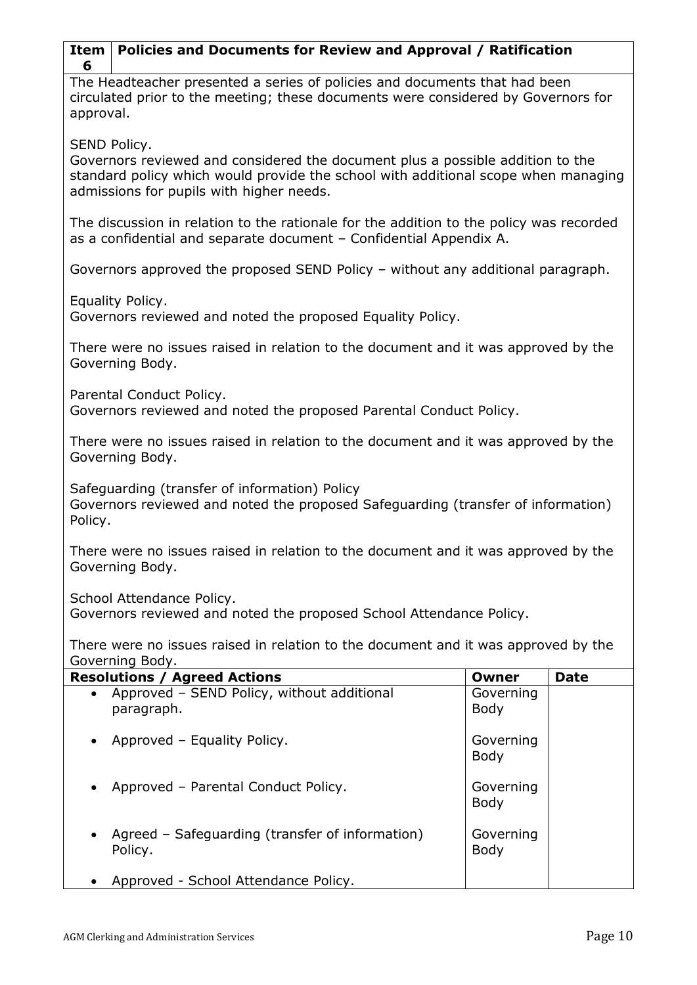| Policies and Documents for Review and Approval / Ratification<br>Item<br>6                                                                                                                                                       |                          |             |
|----------------------------------------------------------------------------------------------------------------------------------------------------------------------------------------------------------------------------------|--------------------------|-------------|
| The Headteacher presented a series of policies and documents that had been<br>circulated prior to the meeting; these documents were considered by Governors for<br>approval.                                                     |                          |             |
| SEND Policy.<br>Governors reviewed and considered the document plus a possible addition to the<br>standard policy which would provide the school with additional scope when managing<br>admissions for pupils with higher needs. |                          |             |
| The discussion in relation to the rationale for the addition to the policy was recorded<br>as a confidential and separate document - Confidential Appendix A.                                                                    |                          |             |
| Governors approved the proposed SEND Policy - without any additional paragraph.                                                                                                                                                  |                          |             |
| Equality Policy.<br>Governors reviewed and noted the proposed Equality Policy.                                                                                                                                                   |                          |             |
| There were no issues raised in relation to the document and it was approved by the<br>Governing Body.                                                                                                                            |                          |             |
| Parental Conduct Policy.<br>Governors reviewed and noted the proposed Parental Conduct Policy.                                                                                                                                   |                          |             |
| There were no issues raised in relation to the document and it was approved by the<br>Governing Body.                                                                                                                            |                          |             |
| Safeguarding (transfer of information) Policy<br>Governors reviewed and noted the proposed Safeguarding (transfer of information)<br>Policy.                                                                                     |                          |             |
| There were no issues raised in relation to the document and it was approved by the<br>Governing Body.                                                                                                                            |                          |             |
| School Attendance Policy.<br>Governors reviewed and noted the proposed School Attendance Policy.                                                                                                                                 |                          |             |
| There were no issues raised in relation to the document and it was approved by the<br>Governing Body.                                                                                                                            |                          |             |
| <b>Resolutions / Agreed Actions</b>                                                                                                                                                                                              | <b>Owner</b>             | <b>Date</b> |
| Approved - SEND Policy, without additional<br>paragraph.                                                                                                                                                                         | Governing<br>Body        |             |
| Approved - Equality Policy.                                                                                                                                                                                                      | Governing<br><b>Body</b> |             |
| Approved - Parental Conduct Policy.                                                                                                                                                                                              | Governing<br>Body        |             |
| Agreed – Safeguarding (transfer of information)<br>Policy.                                                                                                                                                                       | Governing<br>Body        |             |
| Approved - School Attendance Policy.                                                                                                                                                                                             |                          |             |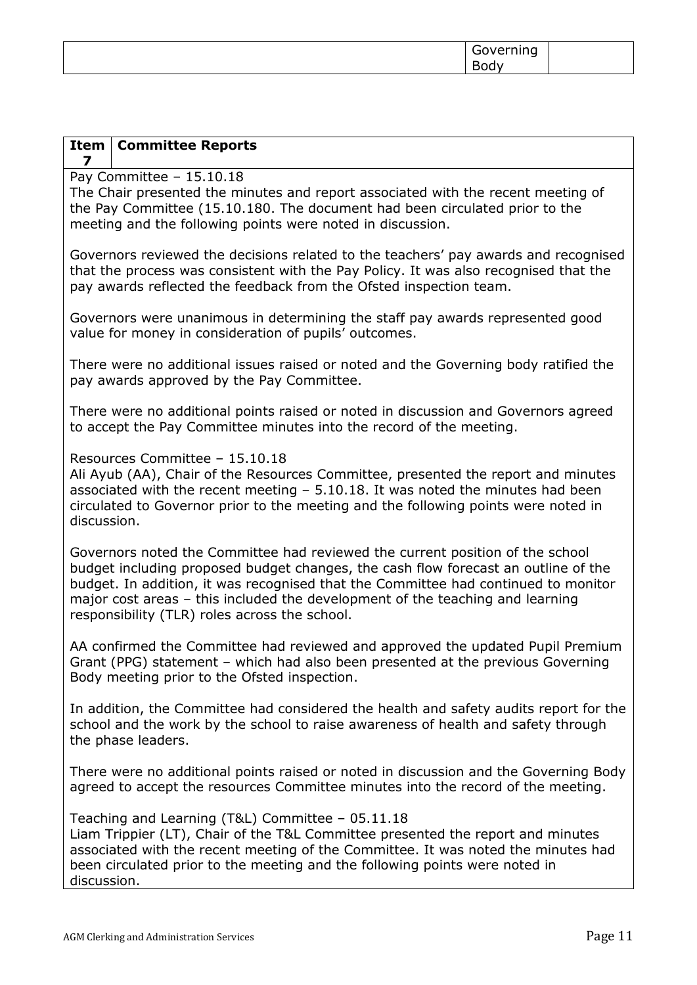| -<br>ັ<br>$\overline{\phantom{a}}$ |  |
|------------------------------------|--|
|                                    |  |

| <b>Committee Reports</b><br>Item<br>7                                                                                                                                                                                                                                                                                                                                                       |  |  |  |  |
|---------------------------------------------------------------------------------------------------------------------------------------------------------------------------------------------------------------------------------------------------------------------------------------------------------------------------------------------------------------------------------------------|--|--|--|--|
| Pay Committee $-15.10.18$<br>The Chair presented the minutes and report associated with the recent meeting of<br>the Pay Committee (15.10.180. The document had been circulated prior to the<br>meeting and the following points were noted in discussion.                                                                                                                                  |  |  |  |  |
| Governors reviewed the decisions related to the teachers' pay awards and recognised<br>that the process was consistent with the Pay Policy. It was also recognised that the<br>pay awards reflected the feedback from the Ofsted inspection team.                                                                                                                                           |  |  |  |  |
| Governors were unanimous in determining the staff pay awards represented good<br>value for money in consideration of pupils' outcomes.                                                                                                                                                                                                                                                      |  |  |  |  |
| There were no additional issues raised or noted and the Governing body ratified the<br>pay awards approved by the Pay Committee.                                                                                                                                                                                                                                                            |  |  |  |  |
| There were no additional points raised or noted in discussion and Governors agreed<br>to accept the Pay Committee minutes into the record of the meeting.                                                                                                                                                                                                                                   |  |  |  |  |
| Resources Committee - 15.10.18<br>Ali Ayub (AA), Chair of the Resources Committee, presented the report and minutes<br>associated with the recent meeting $-5.10.18$ . It was noted the minutes had been<br>circulated to Governor prior to the meeting and the following points were noted in<br>discussion.                                                                               |  |  |  |  |
| Governors noted the Committee had reviewed the current position of the school<br>budget including proposed budget changes, the cash flow forecast an outline of the<br>budget. In addition, it was recognised that the Committee had continued to monitor<br>major cost areas - this included the development of the teaching and learning<br>responsibility (TLR) roles across the school. |  |  |  |  |
| AA confirmed the Committee had reviewed and approved the updated Pupil Premium<br>Grant (PPG) statement - which had also been presented at the previous Governing<br>Body meeting prior to the Ofsted inspection.                                                                                                                                                                           |  |  |  |  |
| In addition, the Committee had considered the health and safety audits report for the<br>school and the work by the school to raise awareness of health and safety through<br>the phase leaders.                                                                                                                                                                                            |  |  |  |  |
| There were no additional points raised or noted in discussion and the Governing Body<br>agreed to accept the resources Committee minutes into the record of the meeting.                                                                                                                                                                                                                    |  |  |  |  |
| Teaching and Learning (T&L) Committee - 05.11.18<br>Liam Trippier (LT), Chair of the T&L Committee presented the report and minutes<br>associated with the recent meeting of the Committee. It was noted the minutes had<br>been circulated prior to the meeting and the following points were noted in<br>discussion.                                                                      |  |  |  |  |
|                                                                                                                                                                                                                                                                                                                                                                                             |  |  |  |  |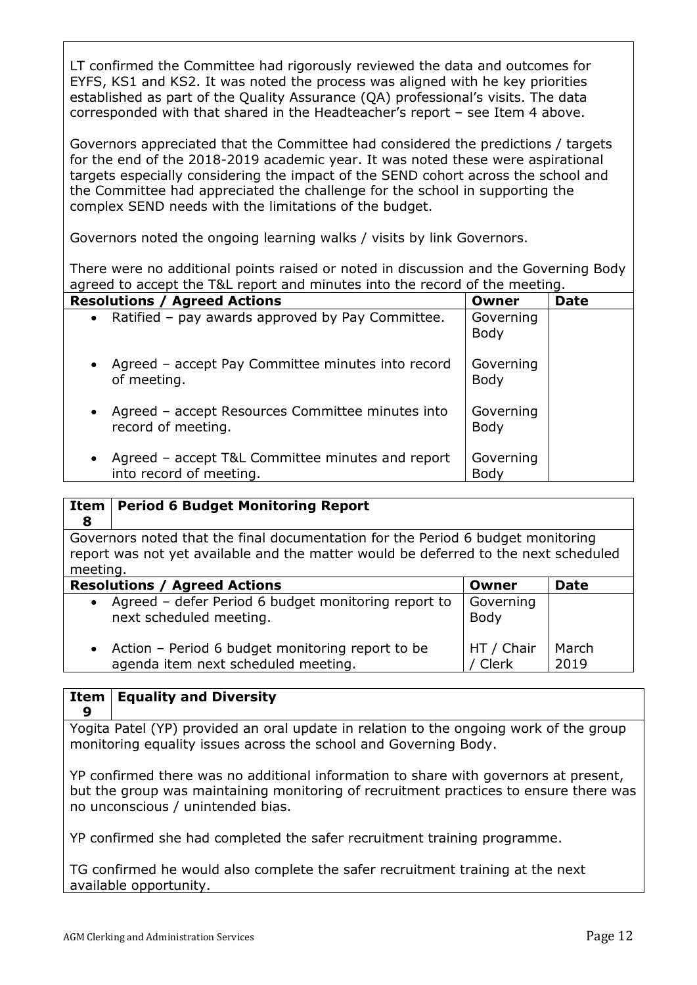LT confirmed the Committee had rigorously reviewed the data and outcomes for EYFS, KS1 and KS2. It was noted the process was aligned with he key priorities established as part of the Quality Assurance (QA) professional's visits. The data corresponded with that shared in the Headteacher's report – see Item 4 above.

Governors appreciated that the Committee had considered the predictions / targets for the end of the 2018-2019 academic year. It was noted these were aspirational targets especially considering the impact of the SEND cohort across the school and the Committee had appreciated the challenge for the school in supporting the complex SEND needs with the limitations of the budget.

Governors noted the ongoing learning walks / visits by link Governors.

There were no additional points raised or noted in discussion and the Governing Body agreed to accept the T&L report and minutes into the record of the meeting.

| <b>Resolutions / Agreed Actions</b>                                                      | Owner                    | <b>Date</b> |
|------------------------------------------------------------------------------------------|--------------------------|-------------|
| • Ratified - pay awards approved by Pay Committee.                                       | Governing<br><b>Body</b> |             |
| Agreed - accept Pay Committee minutes into record<br>$\bullet$<br>of meeting.            | Governing<br><b>Body</b> |             |
| Agreed – accept Resources Committee minutes into<br>$\bullet$<br>record of meeting.      | Governing<br><b>Body</b> |             |
| Agreed - accept T&L Committee minutes and report<br>$\bullet$<br>into record of meeting. | Governing<br>Body        |             |

#### **Item 8 Period 6 Budget Monitoring Report** Governors noted that the final documentation for the Period 6 budget monitoring report was not yet available and the matter would be deferred to the next scheduled meeting. **Resolutions / Agreed Actions CONFIDENTIAL CONFIDENT CONFIDENT IDAte**  Agreed – defer Period 6 budget monitoring report to next scheduled meeting. Action – Period 6 budget monitoring report to be agenda item next scheduled meeting. Governing Body HT / Chair / Clerk March 2019

## **Item Equality and Diversity**

**9**

Yogita Patel (YP) provided an oral update in relation to the ongoing work of the group monitoring equality issues across the school and Governing Body.

YP confirmed there was no additional information to share with governors at present, but the group was maintaining monitoring of recruitment practices to ensure there was no unconscious / unintended bias.

YP confirmed she had completed the safer recruitment training programme.

TG confirmed he would also complete the safer recruitment training at the next available opportunity.